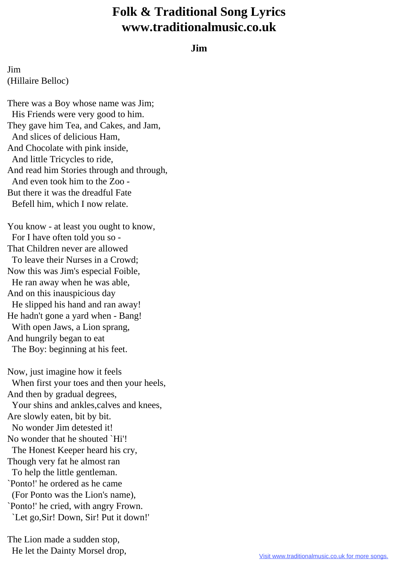## **Folk & Traditional Song Lyrics www.traditionalmusic.co.uk**

## **Jim**

Jim (Hillaire Belloc)

There was a Boy whose name was Jim; His Friends were very good to him. They gave him Tea, and Cakes, and Jam, And slices of delicious Ham, And Chocolate with pink inside, And little Tricycles to ride, And read him Stories through and through, And even took him to the Zoo - But there it was the dreadful Fate Befell him, which I now relate.

You know - at least you ought to know, For I have often told you so - That Children never are allowed To leave their Nurses in a Crowd; Now this was Jim's especial Foible, He ran away when he was able, And on this inauspicious day He slipped his hand and ran away! He hadn't gone a yard when - Bang! With open Jaws, a Lion sprang, And hungrily began to eat The Boy: beginning at his feet.

Now, just imagine how it feels When first your toes and then your heels, And then by gradual degrees, Your shins and ankles, calves and knees, Are slowly eaten, bit by bit. No wonder Jim detested it! No wonder that he shouted `Hi'! The Honest Keeper heard his cry, Though very fat he almost ran To help the little gentleman. `Ponto!' he ordered as he came (For Ponto was the Lion's name), `Ponto!' he cried, with angry Frown. `Let go,Sir! Down, Sir! Put it down!'

The Lion made a sudden stop, He let the Dainty Morsel drop,